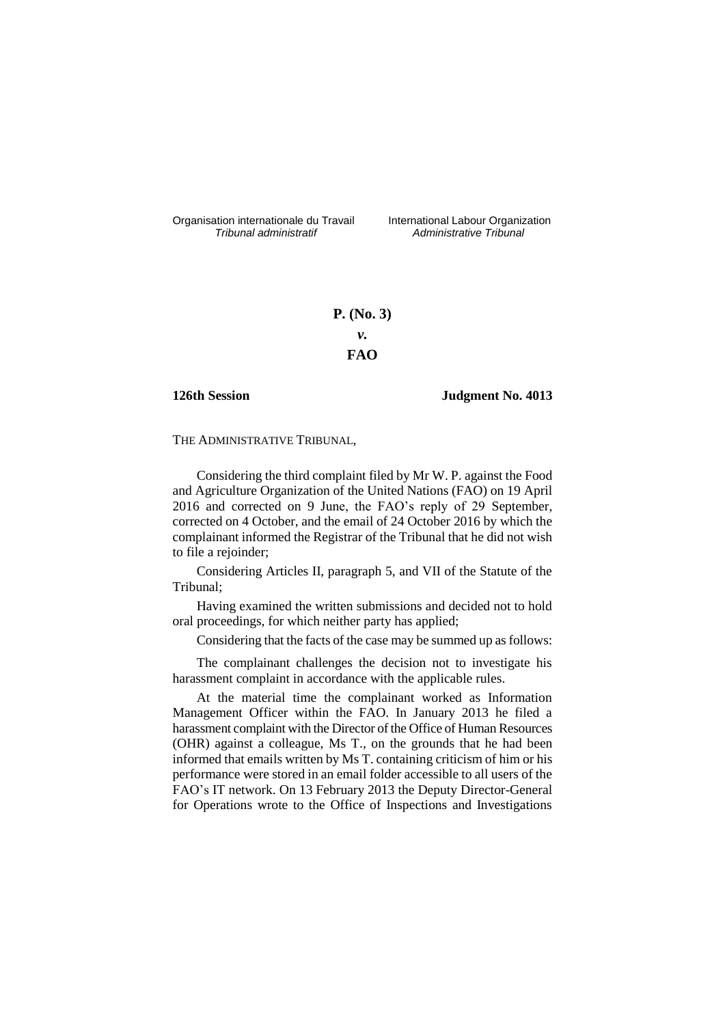Organisation internationale du Travail liternational Labour Organization<br> *Tribunal administratif Administrative Tribunal* 

*Tribunal administratif Administrative Tribunal*

# **P. (No. 3)** *v.* **FAO**

### **126th Session Judgment No. 4013**

THE ADMINISTRATIVE TRIBUNAL,

Considering the third complaint filed by Mr W. P. against the Food and Agriculture Organization of the United Nations (FAO) on 19 April 2016 and corrected on 9 June, the FAO's reply of 29 September, corrected on 4 October, and the email of 24 October 2016 by which the complainant informed the Registrar of the Tribunal that he did not wish to file a rejoinder;

Considering Articles II, paragraph 5, and VII of the Statute of the Tribunal;

Having examined the written submissions and decided not to hold oral proceedings, for which neither party has applied;

Considering that the facts of the case may be summed up as follows:

The complainant challenges the decision not to investigate his harassment complaint in accordance with the applicable rules.

At the material time the complainant worked as Information Management Officer within the FAO. In January 2013 he filed a harassment complaint with the Director of the Office of Human Resources (OHR) against a colleague, Ms T., on the grounds that he had been informed that emails written by Ms T. containing criticism of him or his performance were stored in an email folder accessible to all users of the FAO's IT network. On 13 February 2013 the Deputy Director-General for Operations wrote to the Office of Inspections and Investigations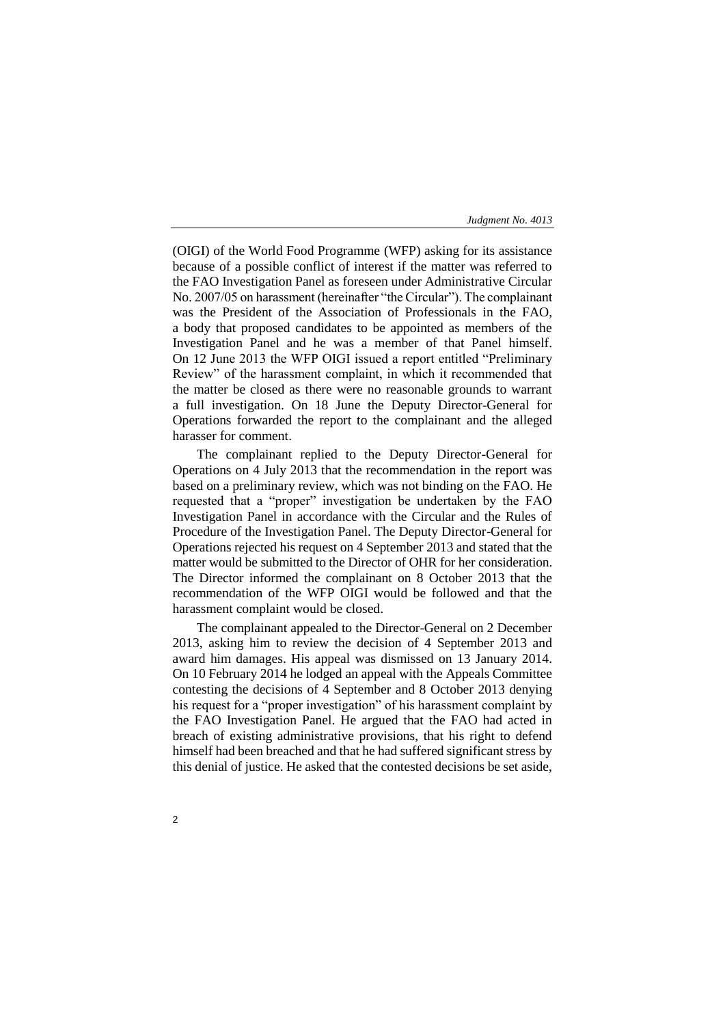(OIGI) of the World Food Programme (WFP) asking for its assistance because of a possible conflict of interest if the matter was referred to the FAO Investigation Panel as foreseen under Administrative Circular No. 2007/05 on harassment (hereinafter "the Circular"). The complainant was the President of the Association of Professionals in the FAO, a body that proposed candidates to be appointed as members of the Investigation Panel and he was a member of that Panel himself. On 12 June 2013 the WFP OIGI issued a report entitled "Preliminary Review" of the harassment complaint, in which it recommended that the matter be closed as there were no reasonable grounds to warrant a full investigation. On 18 June the Deputy Director-General for Operations forwarded the report to the complainant and the alleged harasser for comment.

The complainant replied to the Deputy Director-General for Operations on 4 July 2013 that the recommendation in the report was based on a preliminary review, which was not binding on the FAO. He requested that a "proper" investigation be undertaken by the FAO Investigation Panel in accordance with the Circular and the Rules of Procedure of the Investigation Panel. The Deputy Director-General for Operations rejected his request on 4 September 2013 and stated that the matter would be submitted to the Director of OHR for her consideration. The Director informed the complainant on 8 October 2013 that the recommendation of the WFP OIGI would be followed and that the harassment complaint would be closed.

The complainant appealed to the Director-General on 2 December 2013, asking him to review the decision of 4 September 2013 and award him damages. His appeal was dismissed on 13 January 2014. On 10 February 2014 he lodged an appeal with the Appeals Committee contesting the decisions of 4 September and 8 October 2013 denying his request for a "proper investigation" of his harassment complaint by the FAO Investigation Panel. He argued that the FAO had acted in breach of existing administrative provisions, that his right to defend himself had been breached and that he had suffered significant stress by this denial of justice. He asked that the contested decisions be set aside,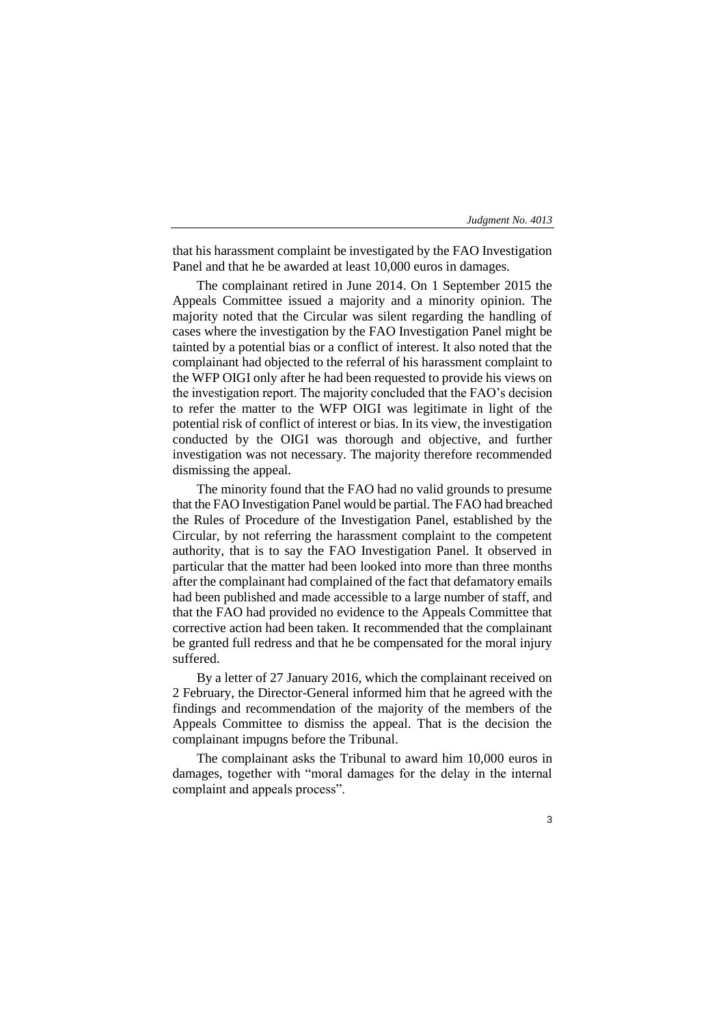that his harassment complaint be investigated by the FAO Investigation Panel and that he be awarded at least 10,000 euros in damages.

The complainant retired in June 2014. On 1 September 2015 the Appeals Committee issued a majority and a minority opinion. The majority noted that the Circular was silent regarding the handling of cases where the investigation by the FAO Investigation Panel might be tainted by a potential bias or a conflict of interest. It also noted that the complainant had objected to the referral of his harassment complaint to the WFP OIGI only after he had been requested to provide his views on the investigation report. The majority concluded that the FAO's decision to refer the matter to the WFP OIGI was legitimate in light of the potential risk of conflict of interest or bias. In its view, the investigation conducted by the OIGI was thorough and objective, and further investigation was not necessary. The majority therefore recommended dismissing the appeal.

The minority found that the FAO had no valid grounds to presume that the FAO Investigation Panel would be partial. The FAO had breached the Rules of Procedure of the Investigation Panel, established by the Circular, by not referring the harassment complaint to the competent authority, that is to say the FAO Investigation Panel. It observed in particular that the matter had been looked into more than three months after the complainant had complained of the fact that defamatory emails had been published and made accessible to a large number of staff, and that the FAO had provided no evidence to the Appeals Committee that corrective action had been taken. It recommended that the complainant be granted full redress and that he be compensated for the moral injury suffered.

By a letter of 27 January 2016, which the complainant received on 2 February, the Director-General informed him that he agreed with the findings and recommendation of the majority of the members of the Appeals Committee to dismiss the appeal. That is the decision the complainant impugns before the Tribunal.

The complainant asks the Tribunal to award him 10,000 euros in damages, together with "moral damages for the delay in the internal complaint and appeals process".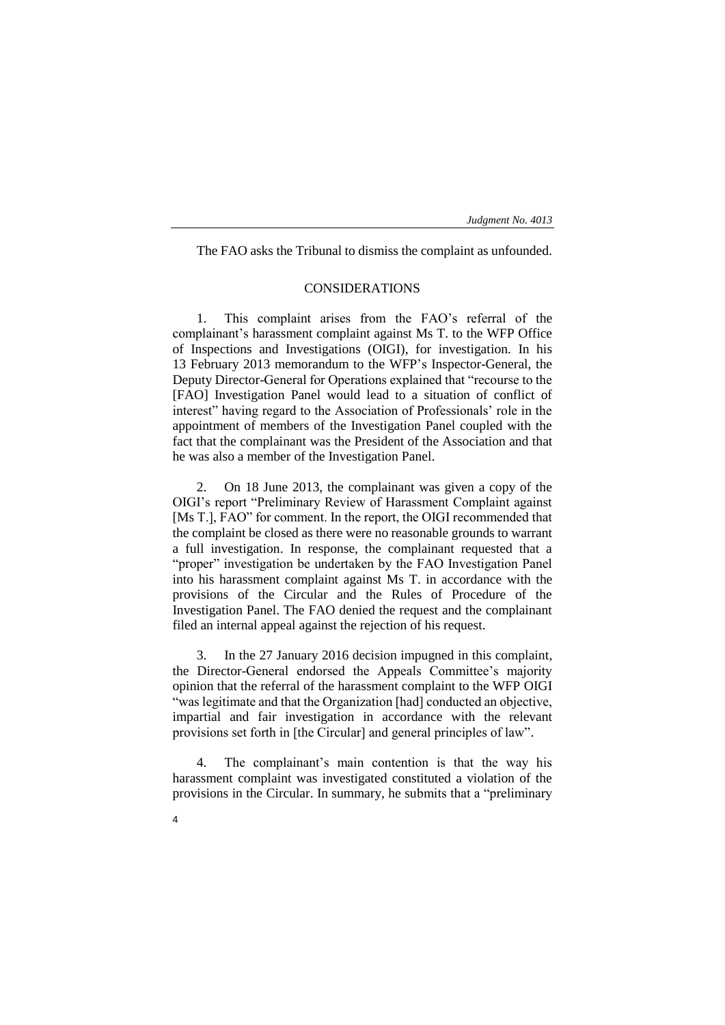The FAO asks the Tribunal to dismiss the complaint as unfounded.

# CONSIDERATIONS

1. This complaint arises from the FAO's referral of the complainant's harassment complaint against Ms T. to the WFP Office of Inspections and Investigations (OIGI), for investigation. In his 13 February 2013 memorandum to the WFP's Inspector-General, the Deputy Director-General for Operations explained that "recourse to the [FAO] Investigation Panel would lead to a situation of conflict of interest" having regard to the Association of Professionals' role in the appointment of members of the Investigation Panel coupled with the fact that the complainant was the President of the Association and that he was also a member of the Investigation Panel.

2. On 18 June 2013, the complainant was given a copy of the OIGI's report "Preliminary Review of Harassment Complaint against [Ms T.], FAO" for comment. In the report, the OIGI recommended that the complaint be closed as there were no reasonable grounds to warrant a full investigation. In response, the complainant requested that a "proper" investigation be undertaken by the FAO Investigation Panel into his harassment complaint against Ms T. in accordance with the provisions of the Circular and the Rules of Procedure of the Investigation Panel. The FAO denied the request and the complainant filed an internal appeal against the rejection of his request.

3. In the 27 January 2016 decision impugned in this complaint, the Director-General endorsed the Appeals Committee's majority opinion that the referral of the harassment complaint to the WFP OIGI "was legitimate and that the Organization [had] conducted an objective, impartial and fair investigation in accordance with the relevant provisions set forth in [the Circular] and general principles of law".

The complainant's main contention is that the way his harassment complaint was investigated constituted a violation of the provisions in the Circular. In summary, he submits that a "preliminary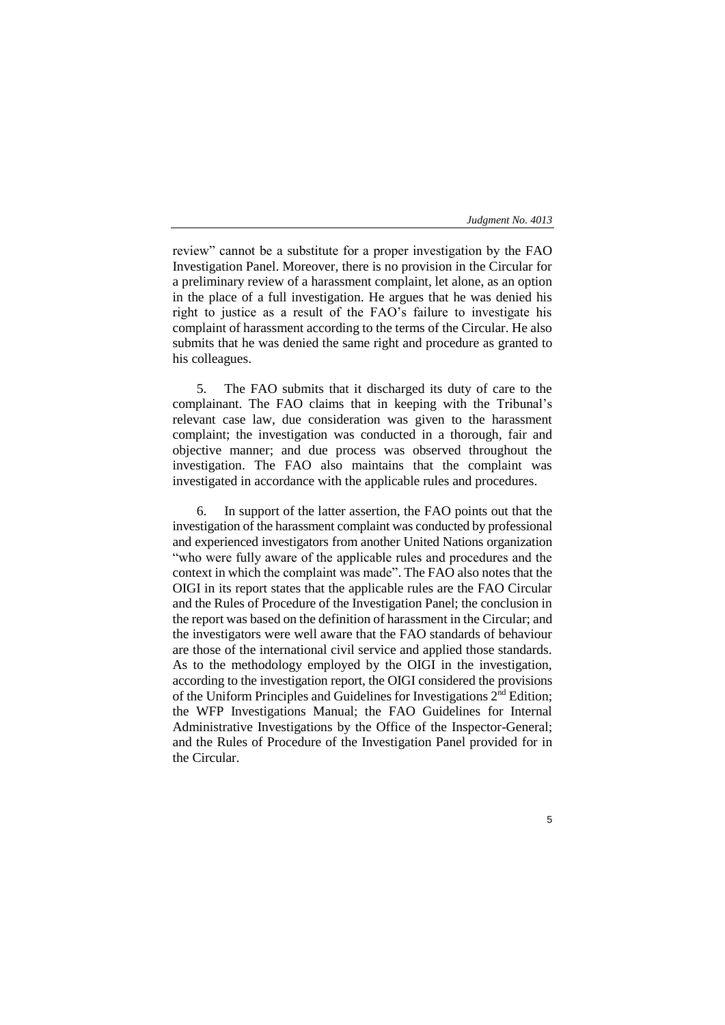review" cannot be a substitute for a proper investigation by the FAO Investigation Panel. Moreover, there is no provision in the Circular for a preliminary review of a harassment complaint, let alone, as an option in the place of a full investigation. He argues that he was denied his right to justice as a result of the FAO's failure to investigate his complaint of harassment according to the terms of the Circular. He also submits that he was denied the same right and procedure as granted to his colleagues.

5. The FAO submits that it discharged its duty of care to the complainant. The FAO claims that in keeping with the Tribunal's relevant case law, due consideration was given to the harassment complaint; the investigation was conducted in a thorough, fair and objective manner; and due process was observed throughout the investigation. The FAO also maintains that the complaint was investigated in accordance with the applicable rules and procedures.

6. In support of the latter assertion, the FAO points out that the investigation of the harassment complaint was conducted by professional and experienced investigators from another United Nations organization "who were fully aware of the applicable rules and procedures and the context in which the complaint was made". The FAO also notes that the OIGI in its report states that the applicable rules are the FAO Circular and the Rules of Procedure of the Investigation Panel; the conclusion in the report was based on the definition of harassment in the Circular; and the investigators were well aware that the FAO standards of behaviour are those of the international civil service and applied those standards. As to the methodology employed by the OIGI in the investigation, according to the investigation report, the OIGI considered the provisions of the Uniform Principles and Guidelines for Investigations 2nd Edition; the WFP Investigations Manual; the FAO Guidelines for Internal Administrative Investigations by the Office of the Inspector-General; and the Rules of Procedure of the Investigation Panel provided for in the Circular.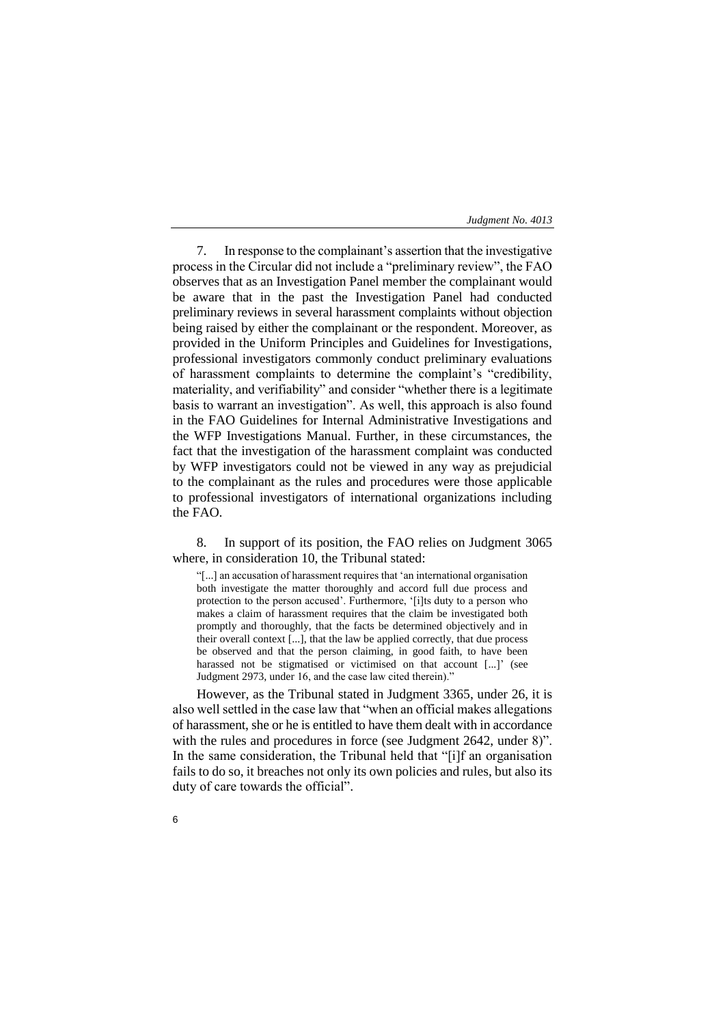7. In response to the complainant's assertion that the investigative process in the Circular did not include a "preliminary review", the FAO observes that as an Investigation Panel member the complainant would be aware that in the past the Investigation Panel had conducted preliminary reviews in several harassment complaints without objection being raised by either the complainant or the respondent. Moreover, as provided in the Uniform Principles and Guidelines for Investigations, professional investigators commonly conduct preliminary evaluations of harassment complaints to determine the complaint's "credibility, materiality, and verifiability" and consider "whether there is a legitimate basis to warrant an investigation". As well, this approach is also found in the FAO Guidelines for Internal Administrative Investigations and the WFP Investigations Manual. Further, in these circumstances, the fact that the investigation of the harassment complaint was conducted by WFP investigators could not be viewed in any way as prejudicial to the complainant as the rules and procedures were those applicable to professional investigators of international organizations including the FAO.

8. In support of its position, the FAO relies on Judgment 3065 where, in consideration 10, the Tribunal stated:

"[...] an accusation of harassment requires that 'an international organisation both investigate the matter thoroughly and accord full due process and protection to the person accused'. Furthermore, '[i]ts duty to a person who makes a claim of harassment requires that the claim be investigated both promptly and thoroughly, that the facts be determined objectively and in their overall context [...], that the law be applied correctly, that due process be observed and that the person claiming, in good faith, to have been harassed not be stigmatised or victimised on that account [...]' (see Judgment 2973, under 16, and the case law cited therein)."

However, as the Tribunal stated in Judgment 3365, under 26, it is also well settled in the case law that "when an official makes allegations of harassment, she or he is entitled to have them dealt with in accordance with the rules and procedures in force (see Judgment 2642, under 8)". In the same consideration, the Tribunal held that "[i]f an organisation fails to do so, it breaches not only its own policies and rules, but also its duty of care towards the official".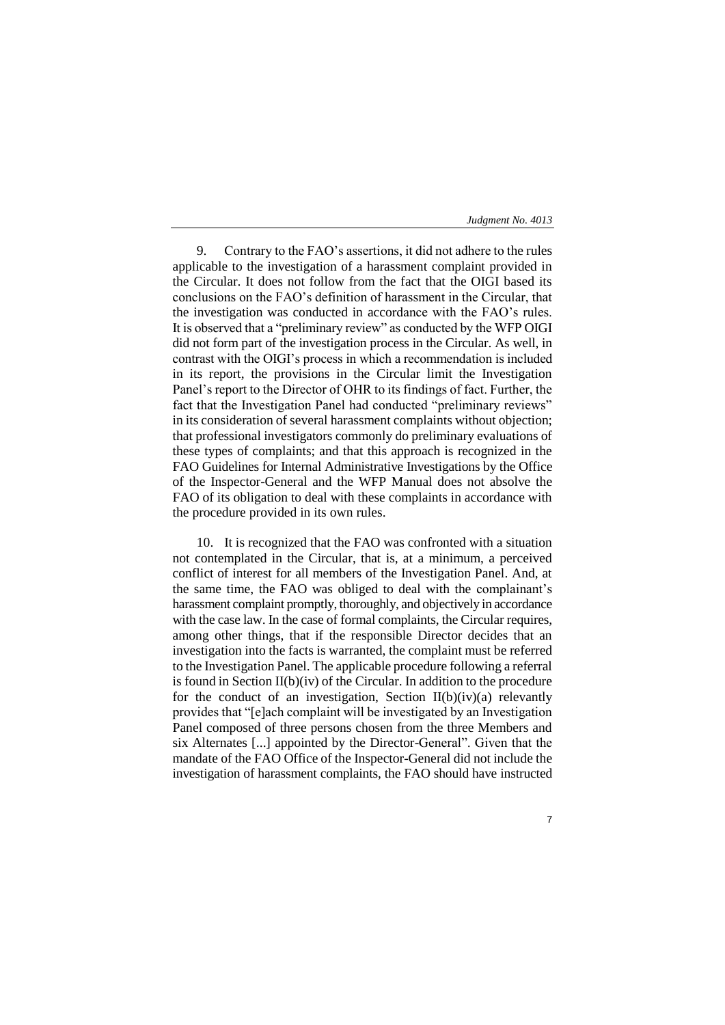9. Contrary to the FAO's assertions, it did not adhere to the rules applicable to the investigation of a harassment complaint provided in the Circular. It does not follow from the fact that the OIGI based its conclusions on the FAO's definition of harassment in the Circular, that the investigation was conducted in accordance with the FAO's rules. It is observed that a "preliminary review" as conducted by the WFP OIGI did not form part of the investigation process in the Circular. As well, in contrast with the OIGI's process in which a recommendation is included in its report, the provisions in the Circular limit the Investigation Panel's report to the Director of OHR to its findings of fact. Further, the fact that the Investigation Panel had conducted "preliminary reviews" in its consideration of several harassment complaints without objection; that professional investigators commonly do preliminary evaluations of these types of complaints; and that this approach is recognized in the FAO Guidelines for Internal Administrative Investigations by the Office of the Inspector-General and the WFP Manual does not absolve the FAO of its obligation to deal with these complaints in accordance with the procedure provided in its own rules.

10. It is recognized that the FAO was confronted with a situation not contemplated in the Circular, that is, at a minimum, a perceived conflict of interest for all members of the Investigation Panel. And, at the same time, the FAO was obliged to deal with the complainant's harassment complaint promptly, thoroughly, and objectively in accordance with the case law. In the case of formal complaints, the Circular requires, among other things, that if the responsible Director decides that an investigation into the facts is warranted, the complaint must be referred to the Investigation Panel. The applicable procedure following a referral is found in Section II(b)(iv) of the Circular. In addition to the procedure for the conduct of an investigation, Section  $II(b)(iv)(a)$  relevantly provides that "[e]ach complaint will be investigated by an Investigation Panel composed of three persons chosen from the three Members and six Alternates [...] appointed by the Director-General". Given that the mandate of the FAO Office of the Inspector-General did not include the investigation of harassment complaints, the FAO should have instructed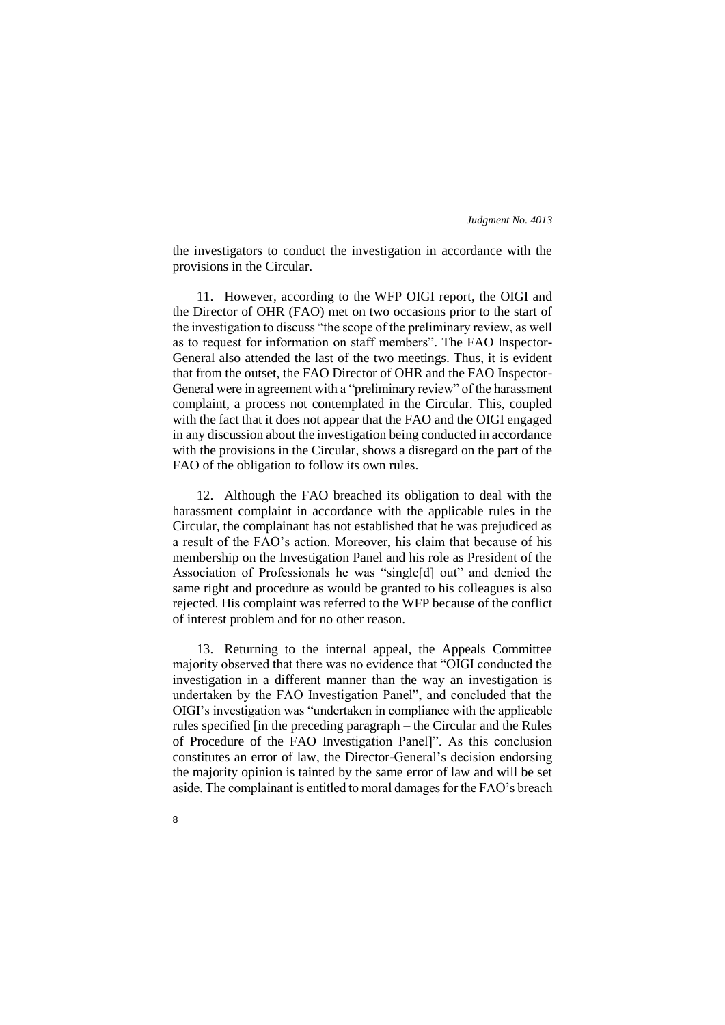the investigators to conduct the investigation in accordance with the provisions in the Circular.

11. However, according to the WFP OIGI report, the OIGI and the Director of OHR (FAO) met on two occasions prior to the start of the investigation to discuss "the scope of the preliminary review, as well as to request for information on staff members". The FAO Inspector-General also attended the last of the two meetings. Thus, it is evident that from the outset, the FAO Director of OHR and the FAO Inspector-General were in agreement with a "preliminary review" of the harassment complaint, a process not contemplated in the Circular. This, coupled with the fact that it does not appear that the FAO and the OIGI engaged in any discussion about the investigation being conducted in accordance with the provisions in the Circular, shows a disregard on the part of the FAO of the obligation to follow its own rules.

12. Although the FAO breached its obligation to deal with the harassment complaint in accordance with the applicable rules in the Circular, the complainant has not established that he was prejudiced as a result of the FAO's action. Moreover, his claim that because of his membership on the Investigation Panel and his role as President of the Association of Professionals he was "single[d] out" and denied the same right and procedure as would be granted to his colleagues is also rejected. His complaint was referred to the WFP because of the conflict of interest problem and for no other reason.

13. Returning to the internal appeal, the Appeals Committee majority observed that there was no evidence that "OIGI conducted the investigation in a different manner than the way an investigation is undertaken by the FAO Investigation Panel", and concluded that the OIGI's investigation was "undertaken in compliance with the applicable rules specified [in the preceding paragraph – the Circular and the Rules of Procedure of the FAO Investigation Panel]". As this conclusion constitutes an error of law, the Director-General's decision endorsing the majority opinion is tainted by the same error of law and will be set aside. The complainant is entitled to moral damages for the FAO's breach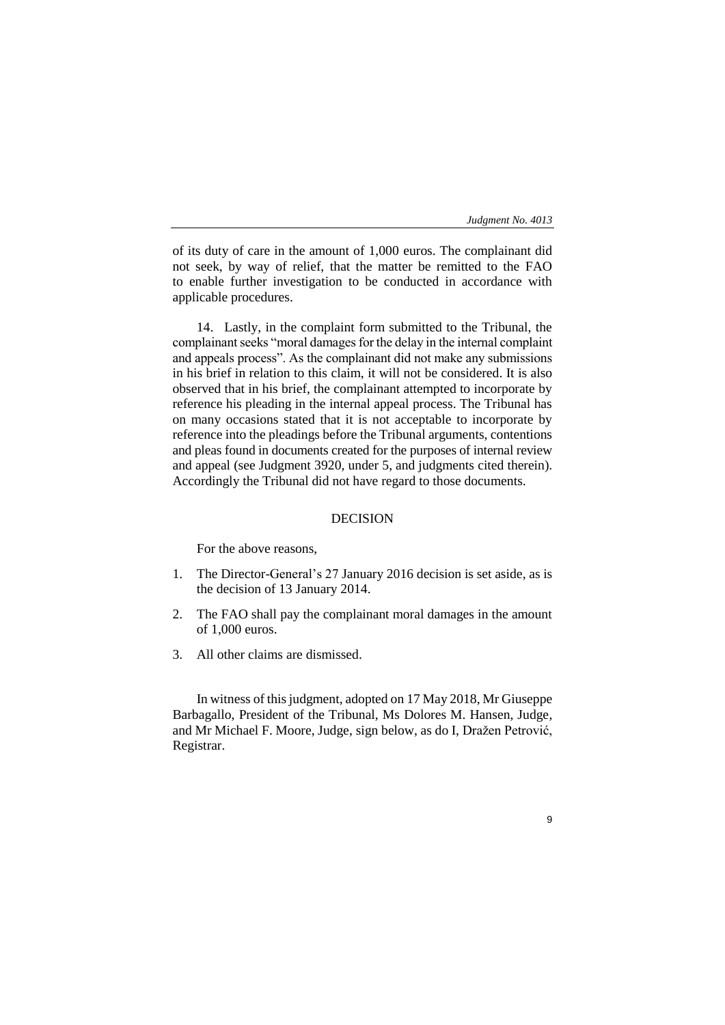9

of its duty of care in the amount of 1,000 euros. The complainant did not seek, by way of relief, that the matter be remitted to the FAO to enable further investigation to be conducted in accordance with applicable procedures.

14. Lastly, in the complaint form submitted to the Tribunal, the complainant seeks "moral damages for the delay in the internal complaint and appeals process". As the complainant did not make any submissions in his brief in relation to this claim, it will not be considered. It is also observed that in his brief, the complainant attempted to incorporate by reference his pleading in the internal appeal process. The Tribunal has on many occasions stated that it is not acceptable to incorporate by reference into the pleadings before the Tribunal arguments, contentions and pleas found in documents created for the purposes of internal review and appeal (see Judgment 3920, under 5, and judgments cited therein). Accordingly the Tribunal did not have regard to those documents.

### DECISION

For the above reasons,

- 1. The Director-General's 27 January 2016 decision is set aside, as is the decision of 13 January 2014.
- 2. The FAO shall pay the complainant moral damages in the amount of 1,000 euros.
- 3. All other claims are dismissed.

In witness of this judgment, adopted on 17 May 2018, Mr Giuseppe Barbagallo, President of the Tribunal, Ms Dolores M. Hansen, Judge, and Mr Michael F. Moore, Judge, sign below, as do I, Dražen Petrović, Registrar.